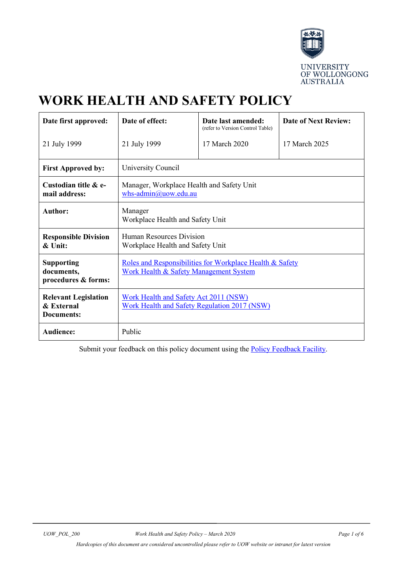

# **WORK HEALTH AND SAFETY POLICY**

| Date first approved:                                    | Date of effect:                                                                                               | Date last amended:<br>(refer to Version Control Table) | <b>Date of Next Review:</b> |  |  |
|---------------------------------------------------------|---------------------------------------------------------------------------------------------------------------|--------------------------------------------------------|-----------------------------|--|--|
| 21 July 1999                                            | 21 July 1999                                                                                                  | 17 March 2020                                          | 17 March 2025               |  |  |
| <b>First Approved by:</b>                               | University Council                                                                                            |                                                        |                             |  |  |
| Custodian title & e-<br>mail address:                   | Manager, Workplace Health and Safety Unit<br>whs-admin $@$ uow.edu.au                                         |                                                        |                             |  |  |
| <b>Author:</b>                                          | Manager<br>Workplace Health and Safety Unit                                                                   |                                                        |                             |  |  |
| <b>Responsible Division</b><br>& Unit:                  | Human Resources Division<br>Workplace Health and Safety Unit                                                  |                                                        |                             |  |  |
| <b>Supporting</b><br>documents,<br>procedures & forms:  | Roles and Responsibilities for Workplace Health & Safety<br><b>Work Health &amp; Safety Management System</b> |                                                        |                             |  |  |
| <b>Relevant Legislation</b><br>& External<br>Documents: | Work Health and Safety Act 2011 (NSW)<br>Work Health and Safety Regulation 2017 (NSW)                         |                                                        |                             |  |  |
| Audience:                                               | Public                                                                                                        |                                                        |                             |  |  |

Submit your feedback on this policy document using the **Policy Feedback Facility**.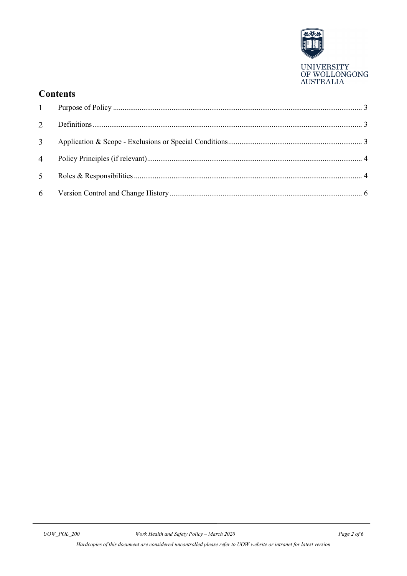

## **Contents**

| 2 <sup>1</sup> |  |
|----------------|--|
| 3 <sup>7</sup> |  |
| $\overline{4}$ |  |
| 5 <sup>5</sup> |  |
|                |  |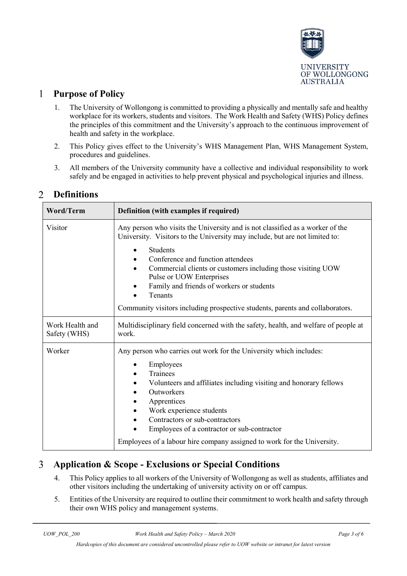

#### <span id="page-2-0"></span> $\mathbf{1}$ **Purpose of Policy**

- 1. The University of Wollongong is committed to providing a physically and mentally safe and healthy workplace for its workers, students and visitors. The Work Health and Safety (WHS) Policy defines the principles of this commitment and the University's approach to the continuous improvement of health and safety in the workplace.
- 2. This Policy gives effect to the University's WHS Management Plan, WHS Management System, procedures and guidelines.
- 3. All members of the University community have a collective and individual responsibility to work safely and be engaged in activities to help prevent physical and psychological injuries and illness.

| <b>Word/Term</b>                | Definition (with examples if required)                                                                                                                                                                                                                                                                     |  |  |
|---------------------------------|------------------------------------------------------------------------------------------------------------------------------------------------------------------------------------------------------------------------------------------------------------------------------------------------------------|--|--|
| Visitor                         | Any person who visits the University and is not classified as a worker of the<br>University. Visitors to the University may include, but are not limited to:                                                                                                                                               |  |  |
|                                 | Students<br>Conference and function attendees<br>Commercial clients or customers including those visiting UOW<br>$\bullet$<br>Pulse or UOW Enterprises                                                                                                                                                     |  |  |
|                                 | Family and friends of workers or students<br>Tenants<br>Community visitors including prospective students, parents and collaborators.                                                                                                                                                                      |  |  |
|                                 |                                                                                                                                                                                                                                                                                                            |  |  |
| Work Health and<br>Safety (WHS) | Multidisciplinary field concerned with the safety, health, and welfare of people at<br>work.                                                                                                                                                                                                               |  |  |
| Worker                          | Any person who carries out work for the University which includes:<br>Employees<br>Trainees<br>Volunteers and affiliates including visiting and honorary fellows<br>Outworkers<br>Apprentices<br>Work experience students<br>Contractors or sub-contractors<br>Employees of a contractor or sub-contractor |  |  |
|                                 | Employees of a labour hire company assigned to work for the University.                                                                                                                                                                                                                                    |  |  |

#### <span id="page-2-1"></span> $\overline{2}$ **Definitions**

#### <span id="page-2-2"></span> $\overline{3}$ **Application & Scope - Exclusions or Special Conditions**

- 4. This Policy applies to all workers of the University of Wollongong as well as students, affiliates and other visitors including the undertaking of university activity on or off campus.
- 5. Entities of the University are required to outline their commitment to work health and safety through their own WHS policy and management systems.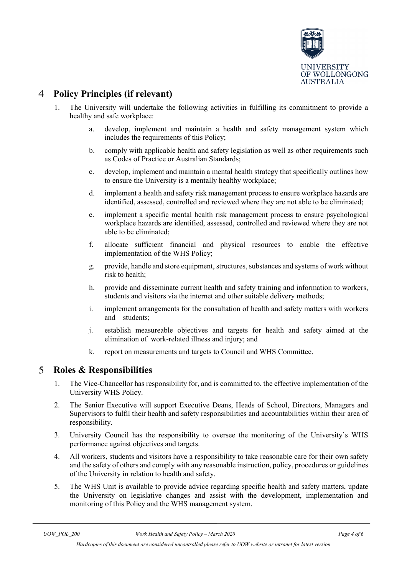

#### <span id="page-3-0"></span> $\overline{4}$ **Policy Principles (if relevant)**

- 1. The University will undertake the following activities in fulfilling its commitment to provide a healthy and safe workplace:
	- a. develop, implement and maintain a health and safety management system which includes the requirements of this Policy;
	- b. comply with applicable health and safety legislation as well as other requirements such as Codes of Practice or Australian Standards;
	- c. develop, implement and maintain a mental health strategy that specifically outlines how to ensure the University is a mentally healthy workplace;
	- d. implement a health and safety risk management process to ensure workplace hazards are identified, assessed, controlled and reviewed where they are not able to be eliminated;
	- e. implement a specific mental health risk management process to ensure psychological workplace hazards are identified, assessed, controlled and reviewed where they are not able to be eliminated;
	- f. allocate sufficient financial and physical resources to enable the effective implementation of the WHS Policy;
	- g. provide, handle and store equipment, structures, substances and systems of work without risk to health;
	- h. provide and disseminate current health and safety training and information to workers, students and visitors via the internet and other suitable delivery methods;
	- i. implement arrangements for the consultation of health and safety matters with workers and students;
	- j. establish measureable objectives and targets for health and safety aimed at the elimination of work-related illness and injury; and
	- k. report on measurements and targets to Council and WHS Committee.

#### <span id="page-3-1"></span>5 **Roles & Responsibilities**

- 1. The Vice-Chancellor has responsibility for, and is committed to, the effective implementation of the University WHS Policy.
- 2. The Senior Executive will support Executive Deans, Heads of School, Directors, Managers and Supervisors to fulfil their health and safety responsibilities and accountabilities within their area of responsibility.
- 3. University Council has the responsibility to oversee the monitoring of the University's WHS performance against objectives and targets.
- 4. All workers, students and visitors have a responsibility to take reasonable care for their own safety and the safety of others and comply with any reasonable instruction, policy, procedures or guidelines of the University in relation to health and safety.
- 5. The WHS Unit is available to provide advice regarding specific health and safety matters, update the University on legislative changes and assist with the development, implementation and monitoring of this Policy and the WHS management system.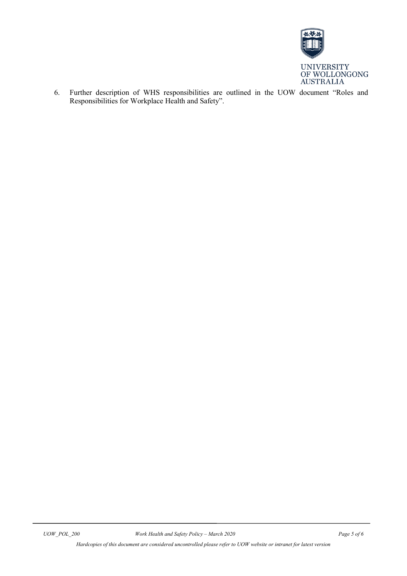

6. Further description of WHS responsibilities are outlined in the UOW document ["Roles and](http://staff.uow.edu.au/content/groups/public/@web/@ohs/documents/doc/uow016892.pdf)  [Responsibilities for Workplace Health and Safety"](http://staff.uow.edu.au/content/groups/public/@web/@ohs/documents/doc/uow016892.pdf).